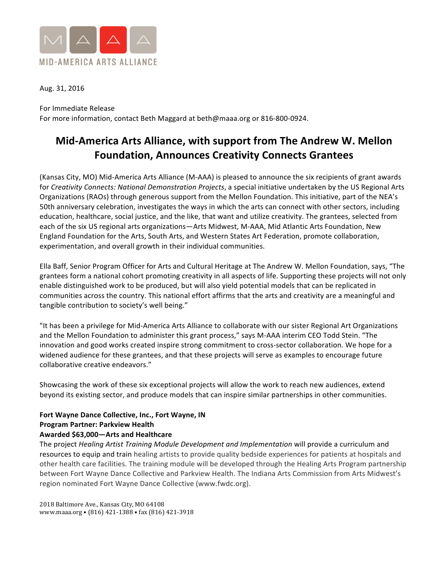

Aug. 31, 2016

For Immediate Release For more information, contact Beth Maggard at beth@maaa.org or 816-800-0924.

# **Mid-America Arts Alliance, with support from The Andrew W. Mellon Foundation, Announces Creativity Connects Grantees**

(Kansas City, MO) Mid-America Arts Alliance (M-AAA) is pleased to announce the six recipients of grant awards for *Creativity Connects: National Demonstration Projects*, a special initiative undertaken by the US Regional Arts Organizations (RAOs) through generous support from the Mellon Foundation. This initiative, part of the NEA's 50th anniversary celebration, investigates the ways in which the arts can connect with other sectors, including education, healthcare, social justice, and the like, that want and utilize creativity. The grantees, selected from each of the six US regional arts organizations—Arts Midwest, M-AAA, Mid Atlantic Arts Foundation, New England Foundation for the Arts, South Arts, and Western States Art Federation, promote collaboration, experimentation, and overall growth in their individual communities.

Ella Baff, Senior Program Officer for Arts and Cultural Heritage at The Andrew W. Mellon Foundation, says, "The grantees form a national cohort promoting creativity in all aspects of life. Supporting these projects will not only enable distinguished work to be produced, but will also yield potential models that can be replicated in communities across the country. This national effort affirms that the arts and creativity are a meaningful and tangible contribution to society's well being."

"It has been a privilege for Mid-America Arts Alliance to collaborate with our sister Regional Art Organizations and the Mellon Foundation to administer this grant process," says M-AAA interim CEO Todd Stein. "The innovation and good works created inspire strong commitment to cross-sector collaboration. We hope for a widened audience for these grantees, and that these projects will serve as examples to encourage future collaborative creative endeavors."

Showcasing the work of these six exceptional projects will allow the work to reach new audiences, extend beyond its existing sector, and produce models that can inspire similar partnerships in other communities.

# **Fort Wayne Dance Collective, Inc., Fort Wayne, IN Program Partner: Parkview Health** Awarded \$63,000-Arts and Healthcare

The project *Healing Artist Training Module Development and Implementation* will provide a curriculum and resources to equip and train healing artists to provide quality bedside experiences for patients at hospitals and other health care facilities. The training module will be developed through the Healing Arts Program partnership between Fort Wayne Dance Collective and Parkview Health. The Indiana Arts Commission from Arts Midwest's region nominated Fort Wayne Dance Collective (www.fwdc.org).

2018 Baltimore Ave., Kansas City, MO 64108 www.maaa.org • (816) 421-1388 • fax (816) 421-3918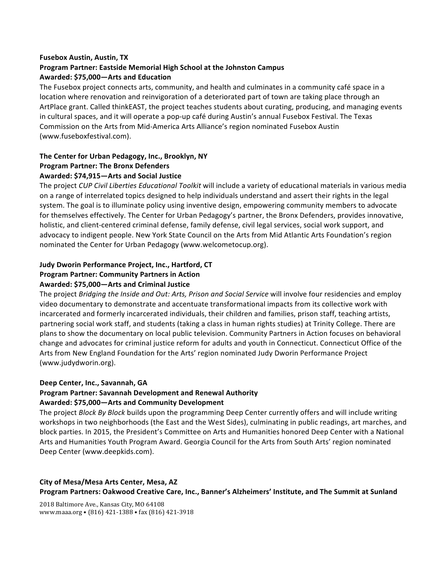## **Fusebox Austin, Austin, TX**

## **Program Partner: Eastside Memorial High School at the Johnston Campus Awarded: \$75,000—Arts and Education**

The Fusebox project connects arts, community, and health and culminates in a community café space in a location where renovation and reinvigoration of a deteriorated part of town are taking place through an ArtPlace grant. Called thinkEAST, the project teaches students about curating, producing, and managing events in cultural spaces, and it will operate a pop-up café during Austin's annual Fusebox Festival. The Texas Commission on the Arts from Mid-America Arts Alliance's region nominated Fusebox Austin (www.fuseboxfestival.com).

## The Center for Urban Pedagogy, Inc., Brooklyn, NY **Program Partner: The Bronx Defenders** Awarded: \$74,915-Arts and Social Justice

The project *CUP Civil Liberties Educational Toolkit* will include a variety of educational materials in various media on a range of interrelated topics designed to help individuals understand and assert their rights in the legal system. The goal is to illuminate policy using inventive design, empowering community members to advocate for themselves effectively. The Center for Urban Pedagogy's partner, the Bronx Defenders, provides innovative, holistic, and client-centered criminal defense, family defense, civil legal services, social work support, and advocacy to indigent people. New York State Council on the Arts from Mid Atlantic Arts Foundation's region nominated the Center for Urban Pedagogy (www.welcometocup.org).

# **Judy Dworin Performance Project, Inc., Hartford, CT Program Partner: Community Partners in Action** Awarded: \$75,000-Arts and Criminal Justice

The project *Bridging the Inside and Out: Arts, Prison and Social Service* will involve four residencies and employ video documentary to demonstrate and accentuate transformational impacts from its collective work with incarcerated and formerly incarcerated individuals, their children and families, prison staff, teaching artists, partnering social work staff, and students (taking a class in human rights studies) at Trinity College. There are plans to show the documentary on local public television. Community Partners in Action focuses on behavioral change and advocates for criminal justice reform for adults and youth in Connecticut. Connecticut Office of the Arts from New England Foundation for the Arts' region nominated Judy Dworin Performance Project (www.judydworin.org). 

## Deep Center, Inc., Savannah, GA

#### **Program Partner: Savannah Development and Renewal Authority** Awarded: \$75,000-Arts and Community Development

The project *Block By Block* builds upon the programming Deep Center currently offers and will include writing workshops in two neighborhoods (the East and the West Sides), culminating in public readings, art marches, and block parties. In 2015, the President's Committee on Arts and Humanities honored Deep Center with a National Arts and Humanities Youth Program Award. Georgia Council for the Arts from South Arts' region nominated Deep Center (www.deepkids.com).

# **City of Mesa/Mesa Arts Center, Mesa, AZ**

Program Partners: Oakwood Creative Care, Inc., Banner's Alzheimers' Institute, and The Summit at Sunland

2018 Baltimore Ave., Kansas City, MO 64108 www.maaa.org • (816) 421-1388 • fax (816) 421-3918